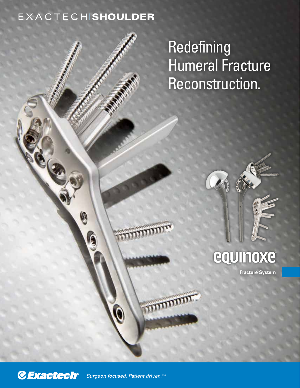### EXACTECHISHOULDER

0

Redefining Humeral Fracture Reconstruction.

# equinoxe

**Fracture System**



*Surgeon focused. Patient driven.TM*

mm